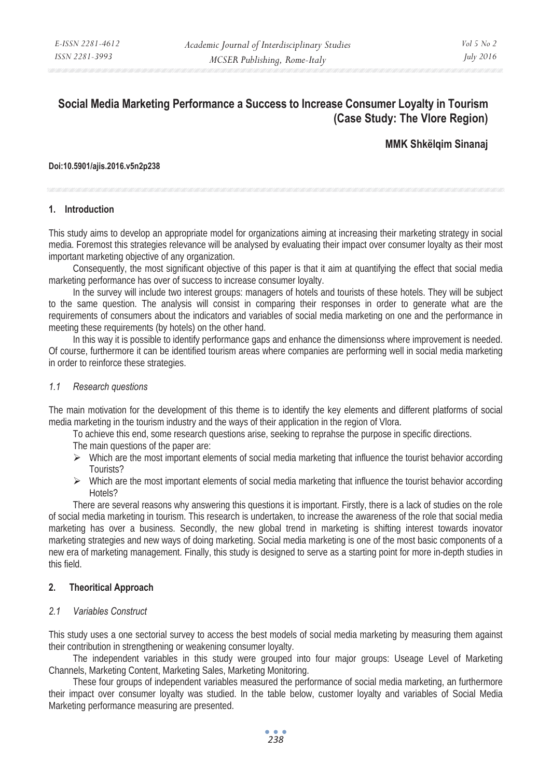# **Social Media Marketing Performance a Success to Increase Consumer Loyalty in Tourism (Case Study: The Vlore Region)**

# **MMK Shkëlqim Sinanaj**

#### **Doi:10.5901/ajis.2016.v5n2p238**

#### **1. Introduction**

This study aims to develop an appropriate model for organizations aiming at increasing their marketing strategy in social media. Foremost this strategies relevance will be analysed by evaluating their impact over consumer loyalty as their most important marketing objective of any organization.

Consequently, the most significant objective of this paper is that it aim at quantifying the effect that social media marketing performance has over of success to increase consumer loyalty.

In the survey will include two interest groups: managers of hotels and tourists of these hotels. They will be subject to the same question. The analysis will consist in comparing their responses in order to generate what are the requirements of consumers about the indicators and variables of social media marketing on one and the performance in meeting these requirements (by hotels) on the other hand.

In this way it is possible to identify performance gaps and enhance the dimensionss where improvement is needed. Of course, furthermore it can be identified tourism areas where companies are performing well in social media marketing in order to reinforce these strategies.

#### *1.1 Research questions*

The main motivation for the development of this theme is to identify the key elements and different platforms of social media marketing in the tourism industry and the ways of their application in the region of Vlora.

To achieve this end, some research questions arise, seeking to reprahse the purpose in specific directions.

The main questions of the paper are:

- $\triangleright$  Which are the most important elements of social media marketing that influence the tourist behavior according Tourists?
- $\triangleright$  Which are the most important elements of social media marketing that influence the tourist behavior according Hotels?

There are several reasons why answering this questions it is important. Firstly, there is a lack of studies on the role of social media marketing in tourism. This research is undertaken, to increase the awareness of the role that social media marketing has over a business. Secondly, the new global trend in marketing is shifting interest towards inovator marketing strategies and new ways of doing marketing. Social media marketing is one of the most basic components of a new era of marketing management. Finally, this study is designed to serve as a starting point for more in-depth studies in this field.

#### **2. Theoritical Approach**

#### *2.1 Variables Construct*

This study uses a one sectorial survey to access the best models of social media marketing by measuring them against their contribution in strengthening or weakening consumer loyalty.

The independent variables in this study were grouped into four major groups: Useage Level of Marketing Channels, Marketing Content, Marketing Sales, Marketing Monitoring.

These four groups of independent variables measured the performance of social media marketing, an furthermore their impact over consumer loyalty was studied. In the table below, customer loyalty and variables of Social Media Marketing performance measuring are presented.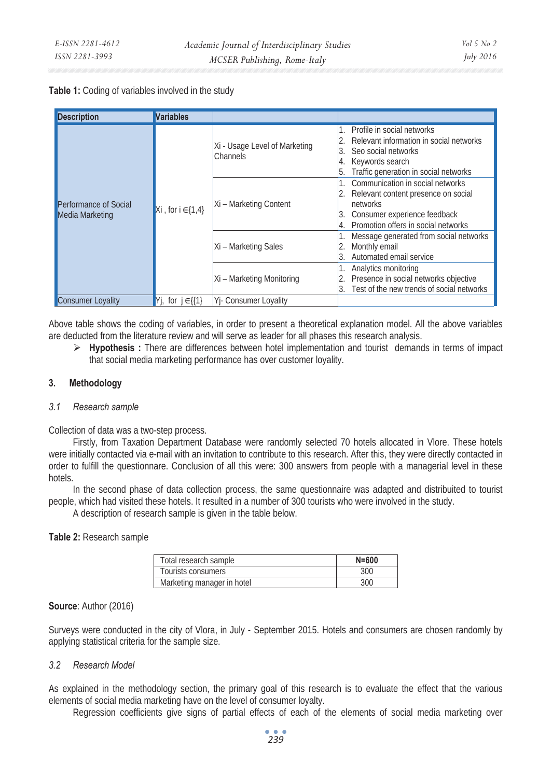# **Table 1:** Coding of variables involved in the study

| <b>Description</b>                       | <b>Variables</b>            |                                           |                                                                                                                                                            |
|------------------------------------------|-----------------------------|-------------------------------------------|------------------------------------------------------------------------------------------------------------------------------------------------------------|
| Performance of Social<br>Media Marketing | Xi, for $i \in \{1,4\}$     | Xi - Usage Level of Marketing<br>Channels | Profile in social networks<br>Relevant information in social networks<br>Seo social networks<br>Keywords search<br>Traffic generation in social networks   |
|                                          |                             | Xi - Marketing Content                    | Communication in social networks<br>Relevant content presence on social<br>networks<br>Consumer experience feedback<br>Promotion offers in social networks |
|                                          |                             | Xi - Marketing Sales                      | Message generated from social networks<br>Monthly email<br>Automated email service                                                                         |
|                                          |                             | Xi - Marketing Monitoring                 | Analytics monitoring<br>Presence in social networks objective<br>Test of the new trends of social networks                                                 |
| <b>Consumer Loyality</b>                 | for $j \in \{\{1\}$<br>IYi. | Yi- Consumer Loyality                     |                                                                                                                                                            |

Above table shows the coding of variables, in order to present a theoretical explanation model. All the above variables are deducted from the literature review and will serve as leader for all phases this research analysis.

¾ **Hypothesis :** There are differences between hotel implementation and tourist demands in terms of impact that social media marketing performance has over customer loyality.

#### **3. Methodology**

#### *3.1 Research sample*

Collection of data was a two-step process.

Firstly, from Taxation Department Database were randomly selected 70 hotels allocated in Vlore. These hotels were initially contacted via e-mail with an invitation to contribute to this research. After this, they were directly contacted in order to fulfill the questionnare. Conclusion of all this were: 300 answers from people with a managerial level in these hotels.

In the second phase of data collection process, the same questionnaire was adapted and distribuited to tourist people, which had visited these hotels. It resulted in a number of 300 tourists who were involved in the study.

A description of research sample is given in the table below.

**Table 2:** Research sample

| Total research sample      | $N = 600$ |
|----------------------------|-----------|
| Tourists consumers         |           |
| Marketing manager in hotel |           |

# **Source**: Author (2016)

Surveys were conducted in the city of Vlora, in July - September 2015. Hotels and consumers are chosen randomly by applying statistical criteria for the sample size.

# *3.2 Research Model*

As explained in the methodology section, the primary goal of this research is to evaluate the effect that the various elements of social media marketing have on the level of consumer loyalty.

Regression coefficients give signs of partial effects of each of the elements of social media marketing over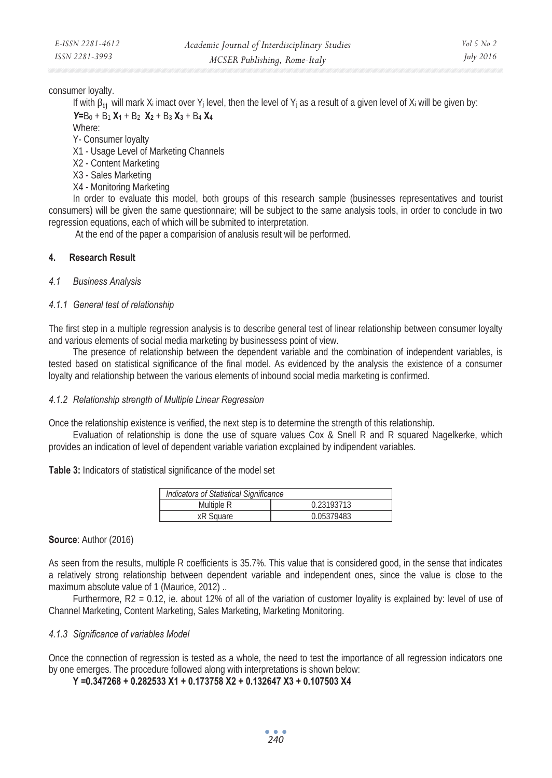consumer loyalty.

If with  $\beta_{ij}$  will mark  $X_i$  imact over Y<sub>i</sub> level, then the level of Y<sub>i</sub> as a result of a given level of X<sub>i</sub> will be given by: *Y=*B0 + B1 **X1** + B2 **X2** + B3 **X3** + B4 **X4**

Where:

Y- Consumer loyalty

- X1 Usage Level of Marketing Channels
- X2 Content Marketing
- X3 Sales Marketing
- X4 Monitoring Marketing

In order to evaluate this model, both groups of this research sample (businesses representatives and tourist consumers) will be given the same questionnaire; will be subject to the same analysis tools, in order to conclude in two regression equations, each of which will be submited to interpretation.

At the end of the paper a comparision of analusis result will be performed.

# **4. Research Result**

#### *4.1 Business Analysis*

# *4.1.1 General test of relationship*

The first step in a multiple regression analysis is to describe general test of linear relationship between consumer loyalty and various elements of social media marketing by businessess point of view.

The presence of relationship between the dependent variable and the combination of independent variables, is tested based on statistical significance of the final model. As evidenced by the analysis the existence of a consumer loyalty and relationship between the various elements of inbound social media marketing is confirmed.

#### *4.1.2 Relationship strength of Multiple Linear Regression*

Once the relationship existence is verified, the next step is to determine the strength of this relationship.

Evaluation of relationship is done the use of square values Cox & Snell R and R squared Nagelkerke, which provides an indication of level of dependent variable variation excplained by indipendent variables.

**Table 3:** Indicators of statistical significance of the model set

| Indicators of Statistical Significance |            |  |
|----------------------------------------|------------|--|
| Multiple R                             | 0.23193713 |  |
| xR Square                              | 0.05379483 |  |

#### **Source**: Author (2016)

As seen from the results, multiple R coefficients is 35.7%. This value that is considered good, in the sense that indicates a relatively strong relationship between dependent variable and independent ones, since the value is close to the maximum absolute value of 1 (Maurice, 2012) ..

Furthermore, R2 = 0.12, ie. about 12% of all of the variation of customer loyality is explained by: level of use of Channel Marketing, Content Marketing, Sales Marketing, Marketing Monitoring.

#### *4.1.3 Significance of variables Model*

Once the connection of regression is tested as a whole, the need to test the importance of all regression indicators one by one emerges. The procedure followed along with interpretations is shown below:

**Y =0.347268 + 0.282533 X1 + 0.173758 X2 + 0.132647 X3 + 0.107503 X4**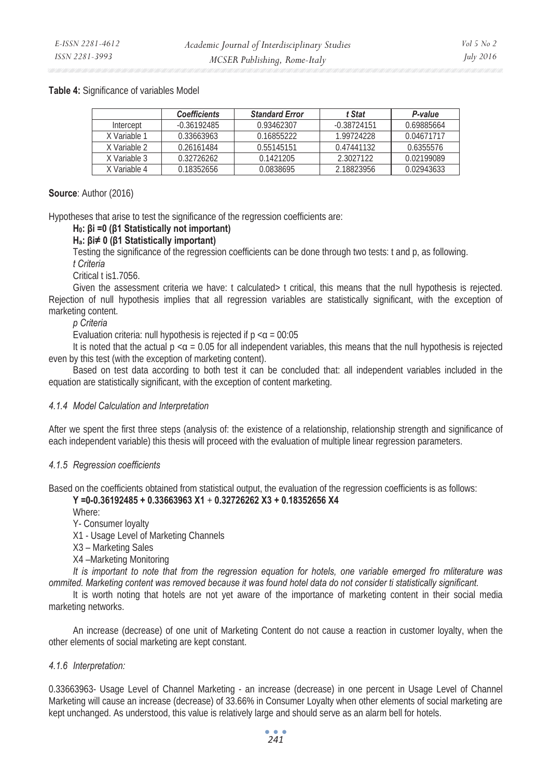#### **Table 4:** Significance of variables Model

|              | <b>Coefficients</b> | <b>Standard Error</b> | t Stat        | P-value    |
|--------------|---------------------|-----------------------|---------------|------------|
| Intercept    | $-0.36192485$       | 0.93462307            | $-0.38724151$ | 0.69885664 |
| X Variable 1 | 0.33663963          | 0.16855222            | 1.99724228    | 0.04671717 |
| X Variable 2 | 0.26161484          | 0.55145151            | 0.47441132    | 0.6355576  |
| X Variable 3 | 0.32726262          | 0.1421205             | 2.3027122     | 0.02199089 |
| X Variable 4 | 0.18352656          | 0.0838695             | 2.18823956    | 0.02943633 |

#### **Source**: Author (2016)

Hypotheses that arise to test the significance of the regression coefficients are:

# **H0: Ȗi =0 (Ȗ1 Statistically not important)**

#### **Ha: Ȗi 0 (Ȗ1 Statistically important)**

Testing the significance of the regression coefficients can be done through two tests: t and p, as following.

*t Criteria* 

Critical t is1.7056.

Given the assessment criteria we have: t calculated t critical, this means that the null hypothesis is rejected. Rejection of null hypothesis implies that all regression variables are statistically significant, with the exception of marketing content.

#### *p Criteria*

Evaluation criteria: null hypothesis is rejected if  $p < \alpha = 00:05$ 

It is noted that the actual  $p \lt q = 0.05$  for all independent variables, this means that the null hypothesis is rejected even by this test (with the exception of marketing content).

Based on test data according to both test it can be concluded that: all independent variables included in the equation are statistically significant, with the exception of content marketing.

#### *4.1.4 Model Calculation and Interpretation*

After we spent the first three steps (analysis of: the existence of a relationship, relationship strength and significance of each independent variable) this thesis will proceed with the evaluation of multiple linear regression parameters.

#### *4.1.5 Regression coefficients*

Based on the coefficients obtained from statistical output, the evaluation of the regression coefficients is as follows:

# **Y =0-0.36192485 + 0.33663963 X1** + **0.32726262 X3 + 0.18352656 X4**

Where:

Y- Consumer loyalty

X1 - Usage Level of Marketing Channels

X3 – Marketing Sales

X4 –Marketing Monitoring

*It is important to note that from the regression equation for hotels, one variable emerged fro mliterature was ommited. Marketing content was removed because it was found hotel data do not consider ti statistically significant.* 

It is worth noting that hotels are not yet aware of the importance of marketing content in their social media marketing networks.

An increase (decrease) of one unit of Marketing Content do not cause a reaction in customer loyalty, when the other elements of social marketing are kept constant.

#### *4.1.6 Interpretation:*

0.33663963- Usage Level of Channel Marketing - an increase (decrease) in one percent in Usage Level of Channel Marketing will cause an increase (decrease) of 33.66% in Consumer Loyalty when other elements of social marketing are kept unchanged. As understood, this value is relatively large and should serve as an alarm bell for hotels.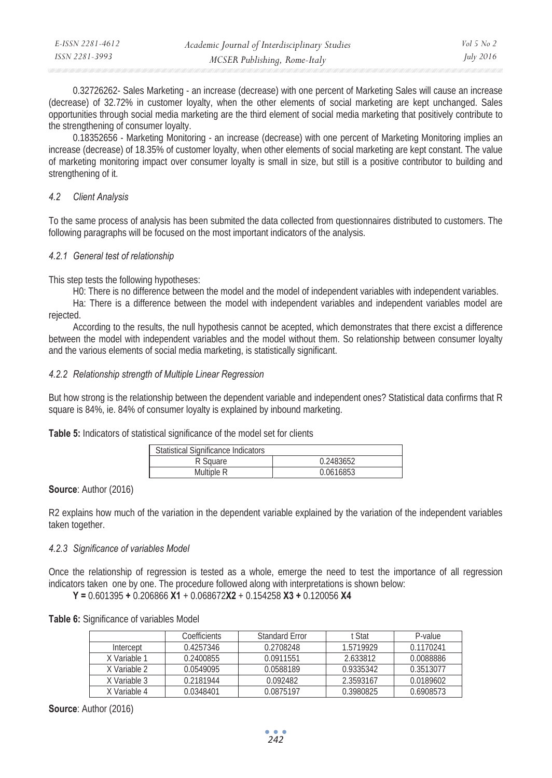| E-ISSN 2281-4612 | Academic Journal of Interdisciplinary Studies | Vol 5 No 2       |
|------------------|-----------------------------------------------|------------------|
| ISSN 2281-3993   | MCSER Publishing, Rome-Italy                  | <i>July</i> 2016 |

0.32726262- Sales Marketing - an increase (decrease) with one percent of Marketing Sales will cause an increase (decrease) of 32.72% in customer loyalty, when the other elements of social marketing are kept unchanged. Sales opportunities through social media marketing are the third element of social media marketing that positively contribute to the strengthening of consumer loyalty.

0.18352656 - Marketing Monitoring - an increase (decrease) with one percent of Marketing Monitoring implies an increase (decrease) of 18.35% of customer loyalty, when other elements of social marketing are kept constant. The value of marketing monitoring impact over consumer loyalty is small in size, but still is a positive contributor to building and strengthening of it.

# *4.2 Client Analysis*

To the same process of analysis has been submited the data collected from questionnaires distributed to customers. The following paragraphs will be focused on the most important indicators of the analysis.

# *4.2.1 General test of relationship*

This step tests the following hypotheses:

H0: There is no difference between the model and the model of independent variables with independent variables.

Ha: There is a difference between the model with independent variables and independent variables model are rejected.

According to the results, the null hypothesis cannot be acepted, which demonstrates that there excist a difference between the model with independent variables and the model without them. So relationship between consumer loyalty and the various elements of social media marketing, is statistically significant.

# *4.2.2 Relationship strength of Multiple Linear Regression*

But how strong is the relationship between the dependent variable and independent ones? Statistical data confirms that R square is 84%, ie. 84% of consumer loyalty is explained by inbound marketing.

**Table 5:** Indicators of statistical significance of the model set for clients

| <b>Statistical Significance Indicators</b> |           |
|--------------------------------------------|-----------|
| R Square                                   | 0.2483652 |
| Multiple R                                 | 0.0616853 |

# **Source**: Author (2016)

R2 explains how much of the variation in the dependent variable explained by the variation of the independent variables taken together.

# *4.2.3 Significance of variables Model*

Once the relationship of regression is tested as a whole, emerge the need to test the importance of all regression indicators taken one by one. The procedure followed along with interpretations is shown below:

**Y =** 0.601395 **+** 0.206866 **X1** + 0.068672**X2** + 0.154258 **X3 +** 0.120056 **X4** 

**Table 6:** Significance of variables Model

|              | Coefficients | Standard Error | t Stat    | P-value   |
|--------------|--------------|----------------|-----------|-----------|
| Intercept    | 0.4257346    | 0.2708248      | 1.5719929 | 0.1170241 |
| X Variable 1 | 0.2400855    | 0.0911551      | 2.633812  | 0.0088886 |
| X Variable 2 | 0.0549095    | 0.0588189      | 0.9335342 | 0.3513077 |
| X Variable 3 | 0.2181944    | 0.092482       | 2.3593167 | 0.0189602 |
| X Variable 4 | 0.0348401    | 0.0875197      | 0.3980825 | 0.6908573 |

**Source**: Author (2016)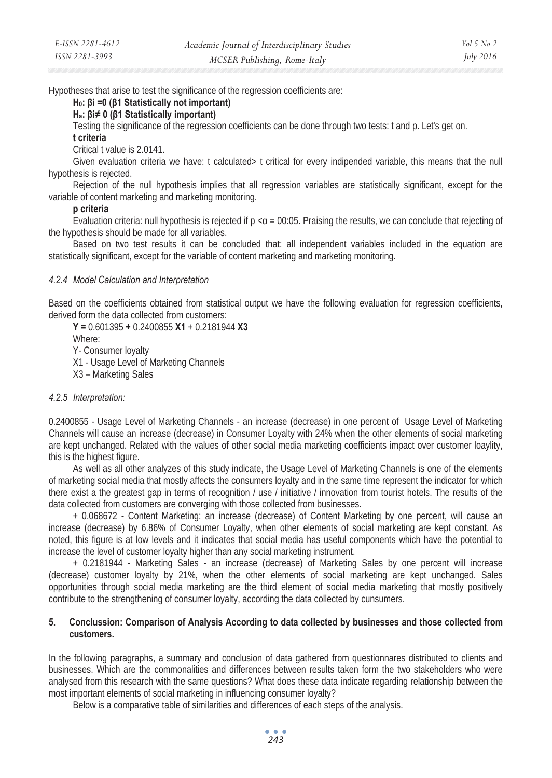Hypotheses that arise to test the significance of the regression coefficients are:

#### **H0: Ȗi =0 (Ȗ1 Statistically not important)**

#### **Ha: Ȗi 0 (Ȗ1 Statistically important)**

Testing the significance of the regression coefficients can be done through two tests: t and p. Let's get on.

#### **t criteria**

#### Critical t value is 2.0141.

Given evaluation criteria we have: t calculated> t critical for every indipended variable, this means that the null hypothesis is rejected.

Rejection of the null hypothesis implies that all regression variables are statistically significant, except for the variable of content marketing and marketing monitoring.

#### **p criteria**

Evaluation criteria: null hypothesis is rejected if  $p < a = 00:05$ . Praising the results, we can conclude that rejecting of the hypothesis should be made for all variables.

Based on two test results it can be concluded that: all independent variables included in the equation are statistically significant, except for the variable of content marketing and marketing monitoring.

#### *4.2.4 Model Calculation and Interpretation*

Based on the coefficients obtained from statistical output we have the following evaluation for regression coefficients, derived form the data collected from customers:

**Y =** 0.601395 **+** 0.2400855 **X1** + 0.2181944 **X3**  Where: Y- Consumer loyalty X1 - Usage Level of Marketing Channels X3 – Marketing Sales

# *4.2.5 Interpretation:*

0.2400855 - Usage Level of Marketing Channels - an increase (decrease) in one percent of Usage Level of Marketing Channels will cause an increase (decrease) in Consumer Loyalty with 24% when the other elements of social marketing are kept unchanged. Related with the values of other social media marketing coefficients impact over customer loaylity, this is the highest figure.

As well as all other analyzes of this study indicate, the Usage Level of Marketing Channels is one of the elements of marketing social media that mostly affects the consumers loyalty and in the same time represent the indicator for which there exist a the greatest gap in terms of recognition / use / initiative / innovation from tourist hotels. The results of the data collected from customers are converging with those collected from businesses.

+ 0.068672 - Content Marketing: an increase (decrease) of Content Marketing by one percent, will cause an increase (decrease) by 6.86% of Consumer Loyalty, when other elements of social marketing are kept constant. As noted, this figure is at low levels and it indicates that social media has useful components which have the potential to increase the level of customer loyalty higher than any social marketing instrument.

+ 0.2181944 - Marketing Sales - an increase (decrease) of Marketing Sales by one percent will increase (decrease) customer loyalty by 21%, when the other elements of social marketing are kept unchanged. Sales opportunities through social media marketing are the third element of social media marketing that mostly positively contribute to the strengthening of consumer loyalty, according the data collected by cunsumers.

#### **5. Conclussion: Comparison of Analysis According to data collected by businesses and those collected from customers.**

In the following paragraphs, a summary and conclusion of data gathered from questionnares distributed to clients and businesses. Which are the commonalities and differences between results taken form the two stakeholders who were analysed from this research with the same questions? What does these data indicate regarding relationship between the most important elements of social marketing in influencing consumer loyalty?

Below is a comparative table of similarities and differences of each steps of the analysis.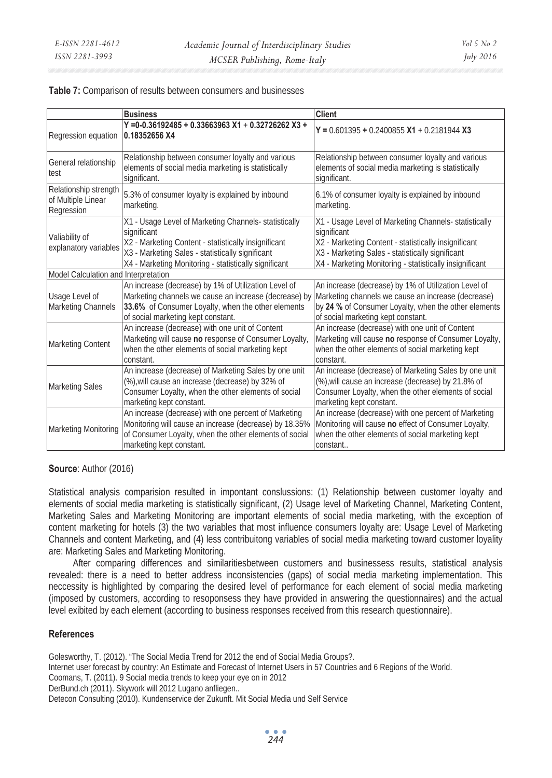**Table 7:** Comparison of results between consumers and businesses

|                                                           | <b>Business</b>                                                                                                                                                                                                                           | <b>Client</b>                                                                                                                                                                                                                               |
|-----------------------------------------------------------|-------------------------------------------------------------------------------------------------------------------------------------------------------------------------------------------------------------------------------------------|---------------------------------------------------------------------------------------------------------------------------------------------------------------------------------------------------------------------------------------------|
| Regression equation                                       | $Y = 0.36192485 + 0.33663963 X1 + 0.32726262 X3 +$<br>0.18352656 X4                                                                                                                                                                       | $Y = 0.601395 + 0.2400855 X1 + 0.2181944 X3$                                                                                                                                                                                                |
| General relationship<br>test                              | Relationship between consumer loyalty and various<br>elements of social media marketing is statistically<br>significant.                                                                                                                  | Relationship between consumer loyalty and various<br>elements of social media marketing is statistically<br>significant.                                                                                                                    |
| Relationship strength<br>of Multiple Linear<br>Regression | 5.3% of consumer loyalty is explained by inbound<br>marketing.                                                                                                                                                                            | 6.1% of consumer loyalty is explained by inbound<br>marketing.                                                                                                                                                                              |
| Valiability of<br>explanatory variables                   | X1 - Usage Level of Marketing Channels- statistically<br>significant<br>X2 - Marketing Content - statistically insignificant<br>X3 - Marketing Sales - statistically significant<br>X4 - Marketing Monitoring - statistically significant | X1 - Usage Level of Marketing Channels- statistically<br>significant<br>X2 - Marketing Content - statistically insignificant<br>X3 - Marketing Sales - statistically significant<br>X4 - Marketing Monitoring - statistically insignificant |
| Model Calculation and Interpretation                      |                                                                                                                                                                                                                                           |                                                                                                                                                                                                                                             |
| Usage Level of<br><b>Marketing Channels</b>               | An increase (decrease) by 1% of Utilization Level of<br>Marketing channels we cause an increase (decrease) by<br>33.6% of Consumer Loyalty, when the other elements<br>of social marketing kept constant.                                 | An increase (decrease) by 1% of Utilization Level of<br>Marketing channels we cause an increase (decrease)<br>by 24 % of Consumer Loyalty, when the other elements<br>of social marketing kept constant.                                    |
| <b>Marketing Content</b>                                  | An increase (decrease) with one unit of Content<br>Marketing will cause no response of Consumer Loyalty,<br>when the other elements of social marketing kept<br>constant.                                                                 | An increase (decrease) with one unit of Content<br>Marketing will cause no response of Consumer Loyalty,<br>when the other elements of social marketing kept<br>constant.                                                                   |
| <b>Marketing Sales</b>                                    | An increase (decrease) of Marketing Sales by one unit<br>(%), will cause an increase (decrease) by 32% of<br>Consumer Loyalty, when the other elements of social<br>marketing kept constant.                                              | An increase (decrease) of Marketing Sales by one unit<br>(%), will cause an increase (decrease) by 21.8% of<br>Consumer Loyalty, when the other elements of social<br>marketing kept constant.                                              |
| Marketing Monitoring                                      | An increase (decrease) with one percent of Marketing<br>Monitoring will cause an increase (decrease) by 18.35%<br>of Consumer Loyalty, when the other elements of social<br>marketing kept constant.                                      | An increase (decrease) with one percent of Marketing<br>Monitoring will cause no effect of Consumer Loyalty,<br>when the other elements of social marketing kept<br>constant                                                                |

#### **Source**: Author (2016)

Statistical analysis comparision resulted in impontant conslussions: (1) Relationship between customer loyalty and elements of social media marketing is statistically significant, (2) Usage level of Marketing Channel, Marketing Content, Marketing Sales and Marketing Monitoring are important elements of social media marketing, with the exception of content marketing for hotels (3) the two variables that most influence consumers loyalty are: Usage Level of Marketing Channels and content Marketing, and (4) less contribuitong variables of social media marketing toward customer loyality are: Marketing Sales and Marketing Monitoring.

After comparing differences and similaritiesbetween customers and businessess results, statistical analysis revealed: there is a need to better address inconsistencies (gaps) of social media marketing implementation. This neccessity is highlighted by comparing the desired level of performance for each element of social media marketing (imposed by customers, according to resoponsess they have provided in answering the questionnaires) and the actual level exibited by each element (according to business responses received from this research questionnaire).

#### **References**

Golesworthy, T. (2012). "The Social Media Trend for 2012 the end of Social Media Groups?. Internet user forecast by country: An Estimate and Forecast of Internet Users in 57 Countries and 6 Regions of the World. Coomans, T. (2011). 9 Social media trends to keep your eye on in 2012 DerBund.ch (2011). Skywork will 2012 Lugano anfliegen.. Detecon Consulting (2010). Kundenservice der Zukunft. Mit Social Media und Self Service